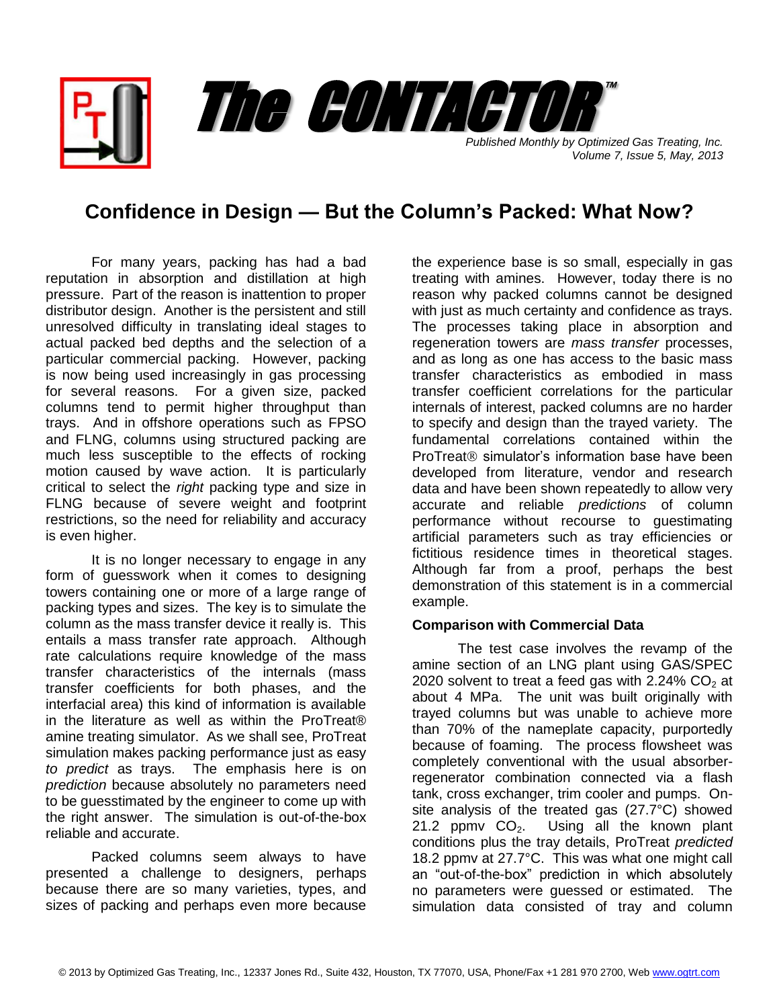*Published Monthly by Optimized Gas Treating, Inc. Volume 7, Issue 5, May, 2013* The CONTACTOR

™

## **Confidence in Design — But the Column's Packed: What Now?**

For many years, packing has had a bad reputation in absorption and distillation at high pressure. Part of the reason is inattention to proper distributor design. Another is the persistent and still unresolved difficulty in translating ideal stages to actual packed bed depths and the selection of a particular commercial packing. However, packing is now being used increasingly in gas processing for several reasons. For a given size, packed columns tend to permit higher throughput than trays. And in offshore operations such as FPSO and FLNG, columns using structured packing are much less susceptible to the effects of rocking motion caused by wave action. It is particularly critical to select the *right* packing type and size in FLNG because of severe weight and footprint restrictions, so the need for reliability and accuracy is even higher.

It is no longer necessary to engage in any form of guesswork when it comes to designing towers containing one or more of a large range of packing types and sizes. The key is to simulate the column as the mass transfer device it really is. This entails a mass transfer rate approach. Although rate calculations require knowledge of the mass transfer characteristics of the internals (mass transfer coefficients for both phases, and the interfacial area) this kind of information is available in the literature as well as within the ProTreat® amine treating simulator. As we shall see, ProTreat simulation makes packing performance just as easy *to predict* as trays. The emphasis here is on *prediction* because absolutely no parameters need to be guesstimated by the engineer to come up with the right answer. The simulation is out-of-the-box reliable and accurate.

Packed columns seem always to have presented a challenge to designers, perhaps because there are so many varieties, types, and sizes of packing and perhaps even more because

the experience base is so small, especially in gas treating with amines. However, today there is no reason why packed columns cannot be designed with just as much certainty and confidence as trays. The processes taking place in absorption and regeneration towers are *mass transfer* processes, and as long as one has access to the basic mass transfer characteristics as embodied in mass transfer coefficient correlations for the particular internals of interest, packed columns are no harder to specify and design than the trayed variety. The fundamental correlations contained within the ProTreat<sup>®</sup> simulator's information base have been developed from literature, vendor and research data and have been shown repeatedly to allow very accurate and reliable *predictions* of column performance without recourse to guestimating artificial parameters such as tray efficiencies or fictitious residence times in theoretical stages. Although far from a proof, perhaps the best demonstration of this statement is in a commercial example.

## **Comparison with Commercial Data**

The test case involves the revamp of the amine section of an LNG plant using GAS/SPEC 2020 solvent to treat a feed gas with 2.24%  $CO<sub>2</sub>$  at about 4 MPa. The unit was built originally with trayed columns but was unable to achieve more than 70% of the nameplate capacity, purportedly because of foaming. The process flowsheet was completely conventional with the usual absorberregenerator combination connected via a flash tank, cross exchanger, trim cooler and pumps. Onsite analysis of the treated gas (27.7°C) showed 21.2 ppmv  $CO<sub>2</sub>$ . Using all the known plant conditions plus the tray details, ProTreat *predicted* 18.2 ppmv at 27.7°C. This was what one might call an "out-of-the-box" prediction in which absolutely no parameters were guessed or estimated. The simulation data consisted of tray and column